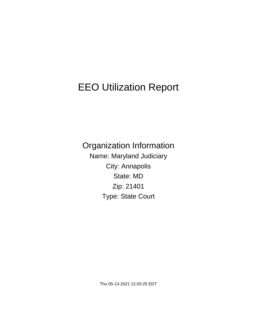# EEO Utilization Report

Organization Information Name: Maryland Judiciary City: Annapolis State: MD Zip: 21401 Type: State Court

Thu 05-13-2021 12:03:25 EDT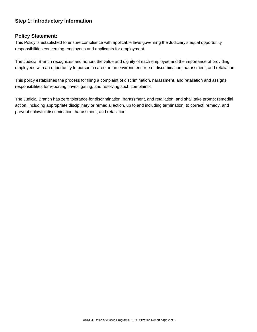## **Step 1: Introductory Information**

#### **Policy Statement:**

This Policy is established to ensure compliance with applicable laws governing the Judiciary's equal opportunity responsibilities concerning employees and applicants for employment.

The Judicial Branch recognizes and honors the value and dignity of each employee and the importance of providing employees with an opportunity to pursue a career in an environment free of discrimination, harassment, and retaliation.

This policy establishes the process for filing a complaint of discrimination, harassment, and retaliation and assigns responsibilities for reporting, investigating, and resolving such complaints.

The Judicial Branch has zero tolerance for discrimination, harassment, and retaliation, and shall take prompt remedial action, including appropriate disciplinary or remedial action, up to and including termination, to correct, remedy, and prevent unlawful discrimination, harassment, and retaliation.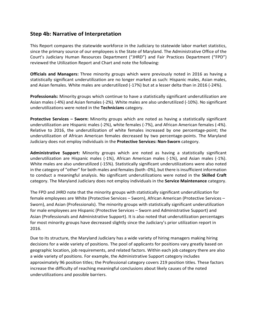# **Step 4b: Narrative of Interpretation**

This Report compares the statewide workforce in the Judiciary to statewide labor market statistics, since the primary source of our employees is the State of Maryland. The Administrative Office of the Court's Judiciary Human Resources Department ("JHRD") and Fair Practices Department ("FPD") reviewed the Utilization Report and Chart and note the following:

**Officials and Managers:** Three minority groups which were previously noted in 2016 as having a statistically significant underutilization are no longer marked as such: Hispanic males, Asian males, and Asian females. White males are underutilized (-17%) but at a lesser delta than in 2016 (-24%).

**Professionals:** Minority groups which continue to have a statistically significant underutilization are Asian males (-4%) and Asian females (-2%). White males are also underutilized (-10%). No significant underutilizations were noted in the **Technicians** category.

**Protective Services – Sworn:** Minority groups which are noted as having a statistically significant underutilization are Hispanic males (-2%), white females (-7%), and African American females (-4%). Relative to 2016, the underutilization of white females increased by one percentage-point; the underutilization of African American females decreased by two percentage-points. The Maryland Judiciary does not employ individuals in the **Protective Services: Non-Sworn** category.

**Administrative Support:** Minority groups which are noted as having a statistically significant underutilization are Hispanic males (-1%), African American males (-1%), and Asian males (-1%). White males are also underutilized (-15%). Statistically significant underutilizations were also noted in the category of "other" for both males and females (both -0%), but there is insufficient information to conduct a meaningful analysis. No significant underutilizations were noted in the **Skilled Craft** category. The Maryland Judiciary does not employ individuals in the **Service Maintenance** category.

The FPD and JHRD note that the minority groups with statistically significant underutilization for female employees are White (Protective Services – Sworn), African American (Protective Services – Sworn), and Asian (Professionals). The minority groups with statistically significant underutilization for male employees are Hispanic (Protective Services – Sworn and Administrative Support) and Asian (Professionals and Administrative Support). It is also noted that underutilization percentages for most minority groups have decreased slightly since the Judiciary's prior utilization report in 2016.

Due to its structure, the Maryland Judiciary has a wide variety of hiring managers making hiring decisions for a wide variety of positions. The pool of applicants for positions vary greatly based on geographic location, job requirements, and related factors. Within each job category there are also a wide variety of positions. For example, the Administrative Support category includes approximately 96 position titles; the Professional category covers 219 position titles. These factors increase the difficulty of reaching meaningful conclusions about likely causes of the noted underutilizations and possible barriers.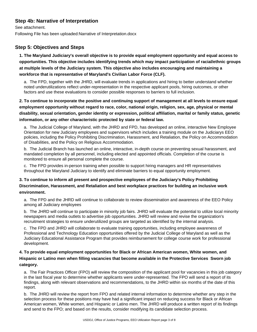## **Step 4b: Narrative of Interpretation**

See attachment. Following File has been uploaded:Narrative of Interpretation.docx

## **Step 5: Objectives and Steps**

**1. The Maryland Judiciary's overall objective is to provide equal employment opportunity and equal access to opportunities. This objective includes identifying trends which may impact participation of racial/ethnic groups at multiple levels of the Judiciary system. This objective also includes encouraging and maintaining a workforce that is representative of Maryland's Civilian Labor Force (CLF).**

a. The FPD, together with the JHRD, will evaluate trends in applications and hiring to better understand whether noted underutilizations reflect under-representation in the respective applicant pools, hiring outcomes, or other factors and use these evaluations to consider possible responses to barriers to full inclusion.

**2. To continue to incorporate the positive and continuing support of management at all levels to ensure equal employment opportunity without regard to race, color, national origin, religion, sex, age, physical or mental disability, sexual orientation, gender identity or expression, political affiliation, marital or family status, genetic information, or any other characteristic protected by state or federal law.**

a. The Judicial College of Maryland, with the JHRD and FPD, has developed an online, interactive New Employee Orientation for new Judiciary employees and supervisors which includes a training module on the Judiciarys EEO policies, including the Policy Prohibiting Discrimination, Harassment, and Retaliation, the Policy on Accommodation of Disabilities, and the Policy on Religious Accommodation.

b. The Judicial Branch has launched an online, interactive, in-depth course on preventing sexual harassment, and mandated completion by all personnel, including elected and appointed officials. Completion of the course is monitored to ensure all personal complete the course.

c. The FPD provides in-person training when possible to support hiring managers and HR representatives throughout the Maryland Judiciary to identify and eliminate barriers to equal opportunity employment.

## **3. To continue to inform all present and prospective employees of the Judiciary's Policy Prohibiting Discrimination, Harassment, and Retaliation and best workplace practices for building an inclusive work environment.**

a. The FPD and the JHRD will continue to collaborate to review dissemination and awareness of the EEO Policy among all Judiciary employees

b. The JHRD will continue to participate in minority job fairs. JHRD will evaluate the potential to utilize local minority newspapers and media outlets to advertise job opportunities. JHRD will review and revise the organization's recruitment strategies to ensure underutilized groups are targeted as identified by the internal analysis.

c. The FPD and JHRD will collaborate to evaluate training opportunities, including employee awareness of Professional and Technology Education opportunities offered by the Judicial College of Maryland as well as the Judiciary Educational Assistance Program that provides reimbursement for college course work for professional development.

## **4. To provide equal employment opportunities for Black or African American women, White women, and Hispanic or Latino men when filling vacancies that become available in the Protective Services Sworn job category.**

a. The Fair Practices Officer (FPO) will review the composition of the applicant pool for vacancies in this job category in the last fiscal year to determine whether applicants were under-represented. The FPO will send a report of its findings, along with relevant observations and recommendations, to the JHRD within six months of the date of this report.

b. The JHRD will review the report from FPO and related internal information to determine whether any step in the selection process for these positions may have had a significant impact on reducing success for Black or African American women, White women, and Hispanic or Latino men. The JHRD will produce a written report of its findings and send to the FPO; and based on the results, consider modifying its candidate selection process.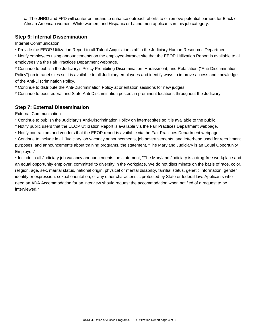c. The JHRD and FPD will confer on means to enhance outreach efforts to or remove potential barriers for Black or African American women, White women, and Hispanic or Latino men applicants in this job category.

## **Step 6: Internal Dissemination**

Internal Communication

\* Provide the EEOP Utilization Report to all Talent Acquisition staff in the Judiciary Human Resources Department.

\* Notify employees using announcements on the employee-intranet site that the EEOP Utilization Report is available to all employees via the Fair Practices Department webpage.

\* Continue to publish the Judiciary's Policy Prohibiting Discrimination, Harassment, and Retaliation ("Anti-Discrimination Policy") on intranet sites so it is available to all Judiciary employees and identify ways to improve access and knowledge of the Anti-Discrimination Policy.

\* Continue to distribute the Anti-Discrimination Policy at orientation sessions for new judges.

\* Continue to post federal and State Anti-Discrimination posters in prominent locations throughout the Judiciary.

## **Step 7: External Dissemination**

External Communication

\* Continue to publish the Judiciary's Anti-Discrimination Policy on internet sites so it is available to the public.

- \* Notify public users that the EEOP Utilization Report is available via the Fair Practices Department webpage.
- \* Notify contractors and vendors that the EEOP report is available via the Fair Practices Department webpage.

\* Continue to include in all Judiciary job vacancy announcements, job advertisements, and letterhead used for recruitment purposes, and announcements about training programs, the statement, "The Maryland Judiciary is an Equal Opportunity Employer."

\* Include in all Judiciary job vacancy announcements the statement, "The Maryland Judiciary is a drug-free workplace and an equal opportunity employer, committed to diversity in the workplace. We do not discriminate on the basis of race, color, religion, age, sex, marital status, national origin, physical or mental disability, familial status, genetic information, gender identity or expression, sexual orientation, or any other characteristic protected by State or federal law. Applicants who need an ADA Accommodation for an interview should request the accommodation when notified of a request to be interviewed."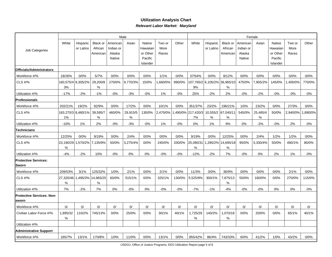#### **Utilization Analysis ChartRelevant Labor Market: Maryland**

|                                           | Male           |                       |                         |                       |               |                    |                |        | Female                  |                       |                                   |                       |               |                    |                |         |  |  |
|-------------------------------------------|----------------|-----------------------|-------------------------|-----------------------|---------------|--------------------|----------------|--------|-------------------------|-----------------------|-----------------------------------|-----------------------|---------------|--------------------|----------------|---------|--|--|
|                                           | White          | Hispanic<br>or Latino | Black or<br>African     | American<br>Indian or | Asian         | Native<br>Hawaiian | Two or<br>More | Other  | White                   | Hispanic<br>or Latino | Black or<br>African               | American<br>Indian or | Asian         | Native<br>Hawaiian | Two or<br>More | Other   |  |  |
| Job Categories                            |                |                       | American                | Alaska                |               | or Other           | Races          |        |                         |                       | American                          | Alaska                |               | or Other           | Races          |         |  |  |
|                                           |                |                       |                         | Native                |               | Pacific            |                |        |                         |                       |                                   | Native                |               | Pacific            |                |         |  |  |
|                                           |                |                       |                         |                       |               | Islander           |                |        |                         |                       |                                   |                       |               | Islander           |                |         |  |  |
| Officials/Administrators                  |                |                       |                         |                       |               |                    |                |        |                         |                       |                                   |                       |               |                    |                |         |  |  |
| Workforce #/%                             | 18/26%         | 0/0%                  | 5/7%                    | 0/0%                  | 0/0%          | 0/0%               | 1/1%           | 0/0%   | 37/54%                  | 0/0%                  | 8/12%                             | 0/0%                  | 0/0%          | 0/0%               | 0/0%           | 0/0%    |  |  |
| CLS #/%                                   | 3%             | 160,575/4 8,305/2%    | 29,200/8<br>$\%$        | 270/0%                | 9,770/3%      | 15/0%              | ,660/0%        | 890/0% | $9%$                    |                       | 107,765/2 6,105/2% 36,965/10<br>% | 475/0%                | 7,905/2%      | 145/0%             | ,400/0%        | 770/0%  |  |  |
| Utilization #/%                           | $-17%$         | $-2%$                 | $-1%$                   | $-0%$                 | $-3%$         | $-0%$              | 1%             | $-0\%$ | 25%                     | $-2%$                 | 2%                                | $-0\%$                | $-2%$         | $-0%$              | $-0\%$         | $-0\%$  |  |  |
| Professionals                             |                |                       |                         |                       |               |                    |                |        |                         |                       |                                   |                       |               |                    |                |         |  |  |
| Workforce #/%                             | 202/21%        | 19/2%                 | 82/9%                   | 0/0%                  | 17/2%         | 0/0%               | 10/1%          | 0/0%   | 351/37%                 | 23/2%                 | 196/21%                           | 1/0%                  | 23/2%         | 0/0%               | 27/3%          | 0/0%    |  |  |
| CLS $\#$ /%                               | 1%             | 183,270/3 8,480/1%    | 39,595/7<br>%           | 460/0%                | 29,915/5<br>% | 130/0%             | 2,470/0%       |        | ,490/0% 217,420/3<br>7% | %                     | 10,555/2 67,040/11<br>%           | 545/0%                | 25,485/4<br>% | 50/0%              | 2,940/0%       | ,890/0% |  |  |
| Utilization #/%                           | $-10%$         | 1%                    | 2%                      | $-0%$                 | $-3%$         | $-0%$              | 1%             | $-0%$  | 0%                      | 1%                    | 9%                                | 0%                    | $-2%$         | $-0%$              | 2%             | $-0\%$  |  |  |
| Technicians                               |                |                       |                         |                       |               |                    |                |        |                         |                       |                                   |                       |               |                    |                |         |  |  |
| Workforce #/%                             | 12/25%         | 0/0%                  | 9/19%                   | 0/0%                  | 2/4%          | 0/0%               | 0/0%           | 0/0%   | 9/19%                   | 0/0%                  | 12/25%                            | 0/0%                  | 2/4%          | 1/2%               | 1/2%           | 0/0%    |  |  |
| CLS #/%                                   | 23,190/29<br>% |                       | 1,570/2% 7,135/9%       | 50/0%                 | 3,275/4%      | 0/0%               | 245/0%         | 330/0% | 25,090/31<br>%          |                       | 1,285/2% 14,695/18<br>%           | 95/0%                 | 3,330/4%      | 50/0%              | 490/1%         | 80/0%   |  |  |
| Utilization #/%                           | $-4%$          | $-2%$                 | 10%                     | $-0%$                 | 0%            | 0%                 | $-0%$          | $-0%$  | $-12%$                  | $-2%$                 | 7%                                | $-0\%$                | 0%            | 2%                 | 1%             | $-0\%$  |  |  |
| <b>IProtective Services:</b><br>Sworn     |                |                       |                         |                       |               |                    |                |        |                         |                       |                                   |                       |               |                    |                |         |  |  |
| Workforce #/%                             | 209/53%        | 3/1%                  | 125/32%                 | 1/0%                  | 2/1%          | 0/0%               | 2/1%           | 0/0%   | 11/3%                   | 0/0%                  | 36/9%                             | 0/0%                  | 0/0%          | 0/0%               | 2/1%           | 0/0%    |  |  |
| CLS #/%                                   | 27,320/46<br>℅ |                       | 1,495/3% 14,965/25<br>% | 60/0%                 | 515/1%        | 0/0%               | 325/1%         | 130/0% | 5,525/9%                | 300/1%                | 7,875/13<br>%                     | 55/0%                 | 160/0%        | 0/0%               | 270/0%         | 115/0%  |  |  |
| Utilization #/%                           | 7%             | $-2%$                 | 7%                      | 0%                    | $-0%$         | 0%                 | $-0%$          | $-0%$  | $-7%$                   | $-1%$                 | $-4%$                             | $-0\%$                | $-0%$         | 0%                 | 0%             | $-0%$   |  |  |
| <b>Protective Services: Non-</b><br>sworn |                |                       |                         |                       |               |                    |                |        |                         |                       |                                   |                       |               |                    |                |         |  |  |
| Workforce #/%                             | 0/             | 0/                    | 0/                      | 0/                    | 0/            | 0/                 | 0/             | 0/     | 0/                      | 0/                    | 0/                                | 0/                    | 0/            | 0/                 | 0/             | 0/      |  |  |
| Civilian Labor Force #/%                  | 1,895/32<br>%  | 110/2%                | 745/13%                 | 0/0%                  | 25/0%         | 0/0%               | 30/1%          | 40/1%  | 1,725/29<br>%           | 140/2%                | 1,070/18<br>%                     | 0/0%                  | 20/0%         | 0/0%               | 65/1%          | 40/1%   |  |  |
| Utilization #/%                           |                |                       |                         |                       |               |                    |                |        |                         |                       |                                   |                       |               |                    |                |         |  |  |
| <b>Administrative Support</b>             |                |                       |                         |                       |               |                    |                |        |                         |                       |                                   |                       |               |                    |                |         |  |  |
| Workforce #/%                             | 165/7%         | 13/1%                 | 170/8%                  | 1/0%                  | 11/0%         | 0/0%               | 13/1%          | 0/0%   | 955/42%                 | 86/4%                 | 743/33%                           | 6/0%                  | 41/2%         | 1/0%               | 43/2%          | 0/0%    |  |  |
|                                           |                |                       |                         |                       |               |                    |                |        |                         |                       |                                   |                       |               |                    |                |         |  |  |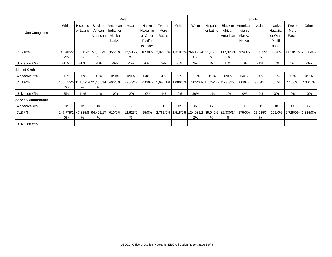|                             | Male   |                              |                                    |                       |               |                     |                |       |                                                                | Female                |                     |                       |               |                     |                |                   |  |  |  |
|-----------------------------|--------|------------------------------|------------------------------------|-----------------------|---------------|---------------------|----------------|-------|----------------------------------------------------------------|-----------------------|---------------------|-----------------------|---------------|---------------------|----------------|-------------------|--|--|--|
|                             | White  | <b>Hispanic</b><br>or Latino | <b>Black or</b><br>African         | American<br>Indian or | Asian         | Native<br>Hawaiian  | Two or<br>More | Other | White                                                          | Hispanic<br>or Latino | Black or<br>African | American<br>Indian or | Asian         | Native<br>Hawaiian  | Two or<br>More | Other             |  |  |  |
| Job Categories              |        |                              | American                           | Alaska                |               | or Other            | Races          |       |                                                                |                       | American            | Alaska                |               | or Other            | Races          |                   |  |  |  |
|                             |        |                              |                                    | Native                |               | Pacific<br>Islander |                |       |                                                                |                       |                     | Native                |               | Pacific<br>Islander |                |                   |  |  |  |
| CLS #/%                     | 2%     | 145,405/2 11,615/2<br>%      | 57,065/9<br>%                      | 355/0%                | 12,505/2<br>% | 165/0%              |                |       | 3,020/0%   1,310/0%   266,125/4   21,765/3   117,320/1<br>0%   | %                     | 8%                  | 785/0%                | 15,725/2<br>% | 330/0%              |                | 4,010/1% 2,580/0% |  |  |  |
| Utilization #/%             | $-15%$ | $-1%$                        | $-1%$                              | $-0\%$                | $-1%$         | $-0\%$              | 0%             | $-0%$ | 2%                                                             | 1%                    | 15%                 | 0%                    | $-1%$         | $-0%$               | 1%             | -0%               |  |  |  |
| <b>Skilled Craft</b>        |        |                              |                                    |                       |               |                     |                |       |                                                                |                       |                     |                       |               |                     |                |                   |  |  |  |
| Workforce #/%               | 2/67%  | 0/0%                         | 0/0%                               | 0/0%                  | 0/0%          | 0/0%                | 0/0%           | 0/0%  | 1/33%                                                          | 0/0%                  | 0/0%                | 0/0%                  | 0/0%          | 0/0%                | 0/0%           | 0/0%              |  |  |  |
| CLS #/%                     | 2%     | %                            | 135,655/6 31,465/14 31,135/14<br>% | 400/0%                | 5,280/2%      | 250/0%              |                |       | ,640/1%   1,080/0%   6,265/3%   1,095/1%   2,725/1%            |                       |                     | 80/0%                 | 925/0%        | 0/0%                | 110/0%         | 130/0%            |  |  |  |
| Utilization #/%             | 5%     | $-14%$                       | $-14%$                             | $-0\%$                | $-2%$         | $-0\%$              | $-1%$          | $-0%$ | 30%                                                            | $-1%$                 | $-1%$               | $-0%$                 | $-0%$         | 0%                  | $-0%$          | -0%               |  |  |  |
| <b>IService/Maintenance</b> |        |                              |                                    |                       |               |                     |                |       |                                                                |                       |                     |                       |               |                     |                |                   |  |  |  |
| Workforce #/%               | 0/     | 0/                           | 0/                                 | 0/                    | 0/            | 0/                  | 0/             | 0/    | 0/                                                             | 0/                    | 0/                  | 0/                    | 0/            | 0/                  | 0/             | 0/                |  |  |  |
| CLS #/%                     | 6%     | %                            | 147,775/2 47,835/8 94,405/17<br>%  | 610/0%                | 12,625/2<br>% | 65/0%               |                |       | 2,765/0%   1,515/0%   124,085/2   35,040/6   82,330/14  <br>2% | %                     | %                   | 575/0%                | 15,085/3<br>% | 125/0%              | $ 2,725/0\% 1$ | ,335/0%           |  |  |  |
| Utilization #/%             |        |                              |                                    |                       |               |                     |                |       |                                                                |                       |                     |                       |               |                     |                |                   |  |  |  |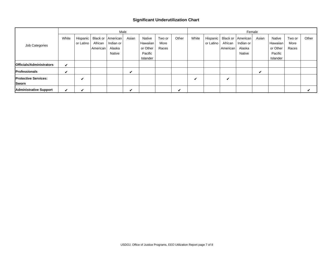#### **Significant Underutilization Chart**

| Male                                 |       |                         |                                 |                                 |       |                                |                         |       |       | Female                  |                     |                                              |       |                                |                         |       |  |  |  |
|--------------------------------------|-------|-------------------------|---------------------------------|---------------------------------|-------|--------------------------------|-------------------------|-------|-------|-------------------------|---------------------|----------------------------------------------|-------|--------------------------------|-------------------------|-------|--|--|--|
| Job Categories                       | White | Hispanic I<br>or Latino | Black or<br>African<br>American | American<br>Indian or<br>Alaska | Asian | Native<br>Hawaiian<br>or Other | Two or<br>More<br>Races | Other | White | Hispanic I<br>or Latino | African<br>American | Black or   American  <br>Indian or<br>Alaska | Asian | Native<br>Hawaiian<br>or Other | Two or<br>More<br>Races | Other |  |  |  |
|                                      |       |                         |                                 | Native                          |       | Pacific<br>Islander            |                         |       |       |                         |                     | Native                                       |       | Pacific<br>Islander            |                         |       |  |  |  |
| <b>Officials/Administrators</b>      | ✓     |                         |                                 |                                 |       |                                |                         |       |       |                         |                     |                                              |       |                                |                         |       |  |  |  |
| <b>Professionals</b>                 | ✔     |                         |                                 |                                 | ✔     |                                |                         |       |       |                         |                     |                                              | v     |                                |                         |       |  |  |  |
| <b>Protective Services:</b><br>Sworn |       | ✔                       |                                 |                                 |       |                                |                         |       | v     |                         | V                   |                                              |       |                                |                         |       |  |  |  |
| <b>Administrative Support</b>        | ✔     | v                       |                                 |                                 | ✔     |                                |                         | v     |       |                         |                     |                                              |       |                                |                         |       |  |  |  |